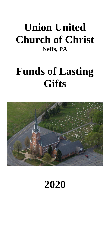# **Union United Church of Christ Neffs, PA**

# **Funds of Lasting Gifts**



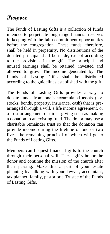### **Purpose**

The Funds of Lasting Gifts is a collection of funds intended to perpetuate long-range financial reserves in keeping with the faith commitment opportunities before the congregation. These funds, therefore, shall be held in perpetuity. No distributions of the donated principal shall be made, except according to the provisions in the gift. The principal and unused earnings shall be retained, invested and allowed to grow. The income generated by The Funds of Lasting Gifts shall be distributed according to the guidelines established with the gift.

The Funds of Lasting Gifts provides a way to donate funds from one's accumulated assets (e.g. stocks, bonds, property, insurance, cash) that is prearranged through a will, a life income agreement, or a trust arrangement or direct giving such as making a donation to an existing fund. The donor may use a charitable remainder trust so that the donation can provide income during the lifetime of one or two lives, the remaining principal of which will go to the Funds of Lasting Gifts.

Members can bequest financial gifts to the church through their personal will. These gifts honor the donor and continue the mission of the church after their passing. Make this a part of your estate planning by talking with your lawyer, accountant, tax planner, family, pastor or a Trustee of the Funds of Lasting Gifts.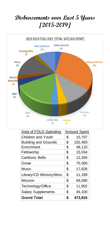# **Disbursements over Last 5 Years [2015-2019]**



| <b>Area of FOLG Spending</b> | <b>Amount Spent</b> |         |
|------------------------------|---------------------|---------|
| Children and Youth           | \$                  | 15,707  |
| <b>Building and Grounds</b>  | \$                  | 152,493 |
| Enrichment                   | \$                  | 48,110  |
| Fellowship                   | \$                  | 15,034  |
| <b>Carillonic Bells</b>      | \$                  | 12,265  |
| Grove                        | \$                  | 75,300  |
| Music                        | \$                  | 17,626  |
| Library/CD Ministry/Misc     | \$                  | 11,189  |
| Mission                      | \$                  | 69,090  |
| Technology/Office            | \$                  | 11,902  |
| <b>Salary Supplements</b>    | \$                  | 45,100  |
| <b>Grand Total</b>           | \$                  | 473.816 |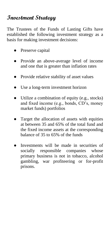# **Investment Strategy**

The Trustees of the Funds of Lasting Gifts have established the following investment strategy as a basis for making investment decisions:

- Preserve capital
- Provide an above-average level of income and one that is greater than inflation rates
- Provide relative stability of asset values
- Use a long-term investment horizon
- Utilize a combination of equity (e.g., stocks) and fixed income (e.g., bonds, CD's, money market funds) portfolios
- Target the allocation of assets with equities at between 35 and 65% of the total fund and the fixed income assets at the corresponding balance of 35 to 65% of the funds
- Investments will be made in securities of socially responsible companies whose primary business is not in tobacco, alcohol gambling, war profiteering or for-profit prisons.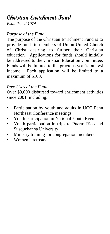# **Christian Enrichment Fund**

*Established 1974*

#### *Purpose of the Fund*

The purpose of the Christian Enrichment Fund is to provide funds to members of Union United Church of Christ desiring to further their Christian education. Applications for funds should initially be addressed to the Christian Education Committee. Funds will be limited to the previous year's interest income. Each application will be limited to a maximum of \$100.

#### *Past Uses of the Fund*

Over \$9,000 disbursed toward enrichment activities since 2001, including:

- **•** Participation by youth and adults in UCC Penn Northeast Conference meetings
- Youth participation in National Youth Events
- Youth participation in trips to Puerto Rico and Susquehanna University
- Ministry training for congregation members
- Women's retreats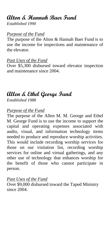## **Alton & Hannah Baer Fund**

*Established 1990*

#### *Purpose of the Fund*

The purpose of the Alton & Hannah Baer Fund is to use the income for inspections and maintenance of the elevator.

#### *Past Uses of the Fund*

Over \$5,300 disbursed toward elevator inspection and maintenance since 2004.

# **Allen & Ethel George Fund**

*Established 1988*

#### *Purpose of the Fund*

The purpose of the Allen M. M. George and Ethel M. George Fund is to use the income to support the capital and operating expenses associated with audio, visual, and information technology items needed to produce and reproduce worship activities. This would include recording worship services for those on our visitation list, recording worship services for online and virtual gatherings, and any other use of technology that enhances worship for the benefit of those who cannot participate in person.

#### *Past Uses of the Fund*

Over \$9,000 disbursed toward the Taped Ministry since 2004.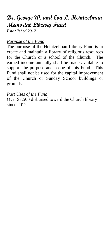# **Dr. George W. and Eva L. Heintzelman Memorial Library Fund**

*Established 2012*

#### *Purpose of the Fund*

The purpose of the Heintzelman Library Fund is to create and maintain a library of religious resources for the Church or a school of the Church. The earned income annually shall be made available to support the purpose and scope of this Fund. This Fund shall not be used for the capital improvement of the Church or Sunday School buildings or grounds.

#### *Past Uses of the Fund*

Over \$7,500 disbursed toward the Church library since 2012.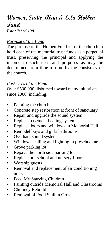### **Warren, Sadie, Alan & Lela Holben Fund**

*Established 1981*

#### *Purpose of the Fund*

The purpose of the Holben Fund is for the church to hold each of the memorial trust funds as a perpetual trust, preserving the principal and applying the income to such uses and purposes as may be determined from time to time by the consistory of the church.

#### *Past Uses of the Fund*

Over \$530,000 disbursed toward many initiatives since 2000, including:

- Painting the church
- Concrete step restoration at front of sanctuary
- Repair and upgrade the sound system
- Replace basement heating system
- Replace doors and windows in Memorial Hall
- **•** Remodel boys and girls bathrooms
- **•** Overhaul sound system
- Windows, ceiling and lighting in preschool area
- Grove parking lot
- Repave the north side parking lot
- Replace pre-school and nursery floors
- Worship guests
- Removal and replacement of air conditioning units
- **•** Feed My Starving Children
- **•** Painting outside Memorial Hall and Classrooms
- Chimney Rebuild
- Removal of Food Stall in Grove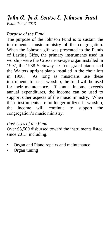#### **John A. Jr & Louise E. Johnson Fund** *Established 2013*

#### *Purpose of the Fund*

The purpose of the Johnson Fund is to sustain the instrumental music ministry of the congregation. When the Johnson gift was presented to the Funds of Lasting Gifts, the primary instruments used in worship were the Crossan-Savage organ installed in 1997, the 1938 Steinway six foot grand piano, and the Walters upright piano installed in the choir loft in 1996. As long as musicians use these instruments to assist worship, the fund will be used for their maintenance. If annual income exceeds annual expenditures, the income can be used to support other aspects of the music ministry. When these instruments are no longer utilized in worship, the income will continue to support the congregation's music ministry.

#### *Past Uses of the Fund*

Over \$5,500 disbursed toward the instruments listed since 2013, including:

- Organ and Piano repairs and maintenance
- Organ tuning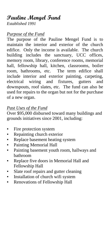# **Pauline Mengel Fund**

*Established 1991*

#### *Purpose of the Fund*

The purpose of the Pauline Mengel Fund is to maintain the interior and exterior of the church edifice. Only the income is available. The church building includes the sanctuary, UCC offices, memory room, library, conference rooms, memorial hall, fellowship hall, kitchen, classrooms, boiler room, bathrooms, etc. The term edifice shall include interior and exterior painting, carpeting, electrical wiring and fixtures, gutters and downspouts, roof slates, etc. The fund can also be used for repairs to the organ but not for the purchase of a new organ.

#### *Past Uses of the Fund*

Over \$95,000 disbursed toward many buildings and grounds initiatives since 2001, including:

- Fire protection system
- **•** Repainting church exterior
- Replace basement heating system
- Painting Memorial Hall
- Painting basement youth room, hallways and bathroom
- Replace five doors in Memorial Hall and Fellowship Hall
- Slate roof repairs and gutter cleaning
- **•** Installation of church wifi system
- **Renovations of Fellowship Hall**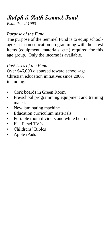# **Ralph & Ruth Semmel Fund**

*Established 1990*

#### *Purpose of the Fund*

The purpose of the Semmel Fund is to equip schoolage Christian education programming with the latest items (equipment, materials, etc.) required for this age group. Only the income is available.

#### *Past Uses of the Fund*

Over \$46,000 disbursed toward school-age Christian education initiatives since 2000, including:

- Cork boards in Green Room
- **•** Pre-school programming equipment and training materials
- New laminating machine
- Education curriculum materials
- **•** Portable room dividers and white boards
- Flat Panel TV's
- Childrens' Bibles
- Apple iPads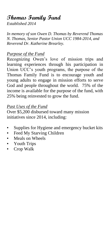# **Thomas Family Fund**

*Established 2014*

*In memory of son Owen D. Thomas by Reverend Thomas N. Thomas, Senior Pastor Union UCC 1984-2014, and Reverend Dr. Katherine Brearley.*

#### *Purpose of the Fund*

Recognizing Owen's love of mission trips and learning experiences through his participation in Union UCC's youth programs, the purpose of the Thomas Family Fund is to encourage youth and young adults to engage in mission efforts to serve God and people throughout the world. 75% of the income is available for the purpose of the fund, with 25% being reinvested to grow the fund.

#### *Past Uses of the Fund*

Over \$5,200 disbursed toward many mission initiatives since 2014, including:

- Supplies for Hygiene and emergency bucket kits
- Feed My Starving Children
- Meals on Wheels
- Youth Trips
- Crop Walk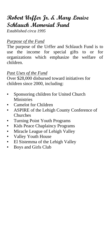## **Robert Urffer Jr. & Mary Louise Schlauch Memorial Fund**

*Established circa 1995*

#### *Purpose of the Fund*

The purpose of the Urffer and Schlauch Fund is to use the income for special gifts to or for organizations which emphasize the welfare of children.

#### *Past Uses of the Fund*

Over \$28,000 disbursed toward initiatives for children since 2000, including:

- Sponsoring children for United Church **Ministries**
- Camelot for Children
- **ASPIRE of the Lehigh County Conference of** Churches
- Turning Point Youth Programs
- Kids Peace Chaplaincy Programs
- **Miracle League of Lehigh Valley**
- Valley Youth House
- **El Sistemma of the Lehigh Valley**
- Boys and Girls Club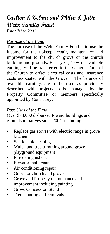# **Carlton & Velma and Philip & Julie Wehr Family Fund**

*Established 2001*

#### *Purpose of the Fund*

The purpose of the Wehr Family Fund is to use the income for the upkeep, repair, maintenance and improvement to the church grove or the church building and grounds. Each year, 15% of available earnings will be transferred to the General Fund of the Church to offset electrical costs and insurance costs associated with the Grove. The balance of available earnings are to be used as previously described with projects to be managed by the Property Committee or members specifically appointed by Consistory.

#### *Past Uses of the Fund*

Over \$73,000 disbursed toward buildings and grounds initiatives since 2004, including:

- Replace gas stoves with electric range in grove kitchen
- Septic tank cleaning
- Mulch and tree trimming around grove playground equipment
- **•** Fire extinguishers
- **Elevator maintenance**
- Air conditioning repair
- Grass for church and grove
- Grove and Property maintenance and improvement including painting
- **Grove Concession Stand**
- **•** Tree planting and removals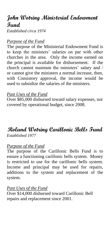# **John Wotring Ministerial Endowment Fund**

*Established circa 1974*

#### *Purpose of the Fund*

The purpose of the Ministerial Endowment Fund is to keep the ministers' salaries on par with other churches in the area. Only the income earned on the principal is available for disbursement. If the church cannot maintain the ministers' salary and / or cannot give the ministers a normal increase, then, with Consistory approval, the income would be used to subsidize the salaries of the ministers.

#### *Past Uses of the Fund*

Over \$85,000 disbursed toward salary expenses, not covered by operational budget, since 2008.

#### **Roland Wotring Carillonic Bells Fund** *Established 1977*

#### *Purpose of the Fund*

The purpose of the Carillonic Bells Fund is to ensure a functioning carillonic bells system. Money is restricted to use for the carillonic bells system. Income and principal may be used for repairs, additions to the system and replacement of the system.

#### *Past Uses of the Fund*

Over \$14,000 disbursed toward Carillonic Bell repairs and replacement since 2001.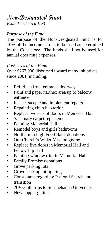# **Non-Designated Fund**

*Established circa 1981*

#### *Purpose of the Fund*

The purpose of the Non-Designated Fund is for 70% of the income earned to be used as determined by the Consistory. The funds shall not be used for annual operating expenses.

#### *Past Uses of the Fund*

Over \$267,000 disbursed toward many initiatives since 2001, including:

- Refurbish front entrance doorway
- Paint and paper narthex area up to balcony entrance
- **•** Inspect steeple and implement repairs
- Repainting church exterior
- **Replace two sets of doors in Memorial Hall**
- Sanctuary carpet replacement
- Painting Memorial Hall
- Remodel boys and girls bathrooms
- Northern Lehigh Food Bank donations
- Our Church's Wider Mission giving
- Replace five doors in Memorial Hall and Fellowship Hall
- Painting window trim in Memorial Hall
- **•** Family Promise donations
- Grove parking lots
- **•** Grove parking lot lighting
- Consultants regarding Pastoral Search and transition
- 20+ youth trips to Susquehanna University
- New copper gutters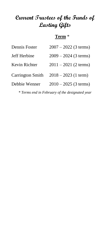# **Current Trustees of the Funds of Lasting Gifts**

#### **Term** \*

| Dennis Foster           | $2007 - 2022$ (3 terms) |
|-------------------------|-------------------------|
| Jeff Herbine            | $2009 - 2024$ (3 terms) |
| Kevin Richter           | $2011 - 2021$ (2 terms) |
| <b>Carrington Smith</b> | $2018 - 2023$ (1 term)  |
| Debbie Wenner           | $2010 - 2025$ (3 terms) |

*\* Terms end in February of the designated year*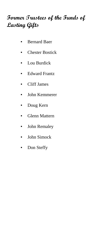# **Former Trustees of the Funds of Lasting Gifts**

- Bernard Baer
- Chester Bostick
- Lou Burdick
- **Edward Frantz**
- Cliff James
- John Kemmerer
- Doug Kern
- Glenn Mattern
- **•** John Remaley
- John Simock
- **•** Don Steffy